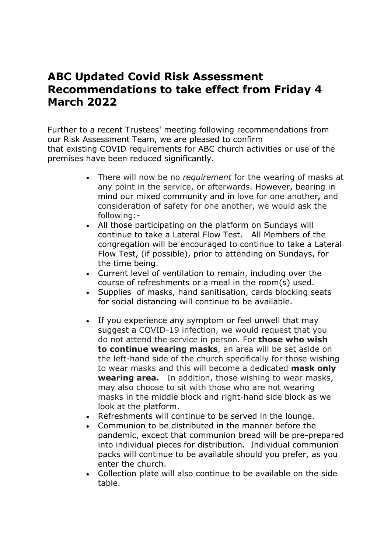## **ABC Updated Covid Risk Assessment Recommendations to take effect from Friday 4 March 2022**

Further to a recent Trustees' meeting following recommendations from our Risk Assessment Team, we are pleased to confirm that existing COVID requirements for ABC church activities or use of the premises have been reduced significantly.

- There will now be no *requirement* for the wearing of masks at any point in the service, or afterwards. However, bearing in mind our mixed community and in love for one another**,** and consideration of safety for one another, we would ask the following:-
- All those participating on the platform on Sundays will continue to take a Lateral Flow Test. All Members of the congregation will be encouraged to continue to take a Lateral Flow Test, (if possible), prior to attending on Sundays, for the time being.
- Current level of ventilation to remain, including over the course of refreshments or a meal in the room(s) used.
- Supplies of masks, hand sanitisation, cards blocking seats for social distancing will continue to be available.
- If you experience any symptom or feel unwell that may suggest a COVID-19 infection, we would request that you do not attend the service in person. For **those who wish to continue wearing masks**, an area will be set aside on the left-hand side of the church specifically for those wishing to wear masks and this will become a dedicated **mask only wearing area.** In addition, those wishing to wear masks, may also choose to sit with those who are not wearing masks in the middle block and right-hand side block as we look at the platform.
- Refreshments will continue to be served in the lounge.
- Communion to be distributed in the manner before the pandemic, except that communion bread will be pre-prepared into individual pieces for distribution. Individual communion packs will continue to be available should you prefer, as you enter the church.
- Collection plate will also continue to be available on the side table.